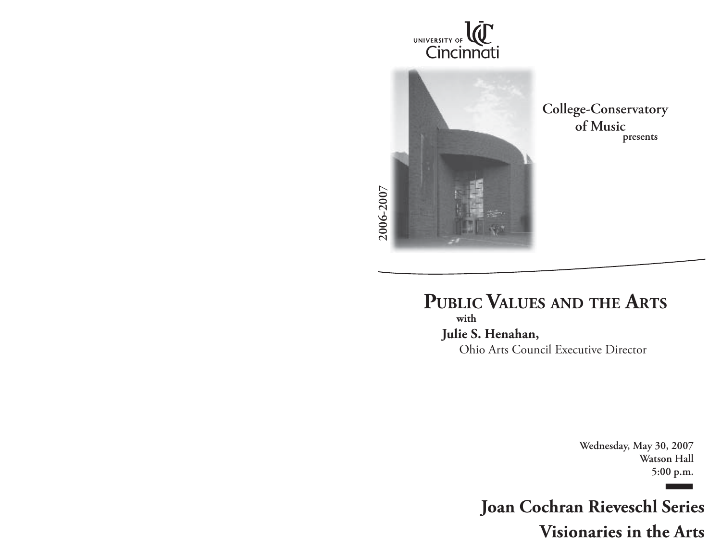



**College-Conservatory presents**

**PUBLIC VALUES AND THE ARTS with Julie S. Henahan,**  Ohio Arts Council Executive Director

> **Wednesday, May 30, 2007 Watson Hall 5:00 p.m.**

**Joan Cochran Rieveschl Series Visionaries in the Arts**